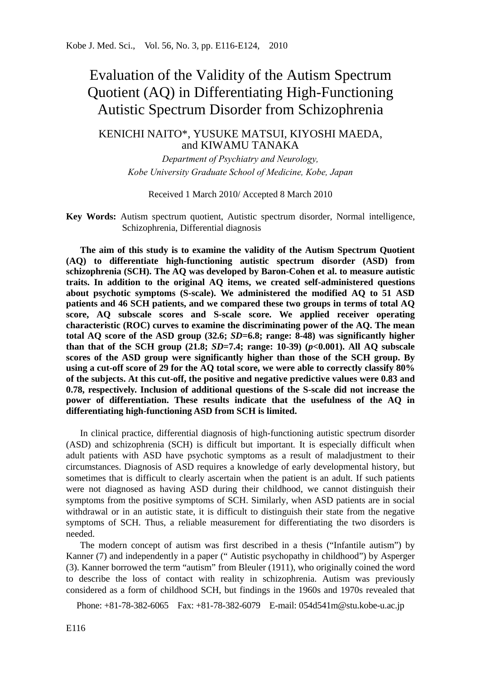# Evaluation of the Validity of the Autism Spectrum Quotient (AQ) in Differentiating High-Functioning Autistic Spectrum Disorder from Schizophrenia

# KENICHI NAITO\*, YUSUKE MATSUI, KIYOSHI MAEDA, and KIWAMU TANAKA

*Department of Psychiatry and Neurology, Kobe University Graduate School of Medicine, Kobe, Japan* 

Received 1 March 2010/ Accepted 8 March 2010

**Key Words:** Autism spectrum quotient, Autistic spectrum disorder, Normal intelligence, Schizophrenia, Differential diagnosis

**The aim of this study is to examine the validity of the Autism Spectrum Quotient (AQ) to differentiate high-functioning autistic spectrum disorder (ASD) from schizophrenia (SCH). The AQ was developed by Baron-Cohen et al. to measure autistic traits. In addition to the original AQ items, we created self-administered questions about psychotic symptoms (S-scale). We administered the modified AQ to 51 ASD patients and 46 SCH patients, and we compared these two groups in terms of total AQ score, AQ subscale scores and S-scale score. We applied receiver operating characteristic (ROC) curves to examine the discriminating power of the AQ. The mean total AQ score of the ASD group (32.6;** *SD***=6.8; range: 8-48) was significantly higher than that of the SCH group (21.8;** *SD***=7.4; range: 10-39) (***p***<0.001). All AQ subscale scores of the ASD group were significantly higher than those of the SCH group. By using a cut-off score of 29 for the AQ total score, we were able to correctly classify 80% of the subjects. At this cut-off, the positive and negative predictive values were 0.83 and 0.78, respectively. Inclusion of additional questions of the S-scale did not increase the power of differentiation. These results indicate that the usefulness of the AQ in differentiating high-functioning ASD from SCH is limited.** 

In clinical practice, differential diagnosis of high-functioning autistic spectrum disorder (ASD) and schizophrenia (SCH) is difficult but important. It is especially difficult when adult patients with ASD have psychotic symptoms as a result of maladjustment to their circumstances. Diagnosis of ASD requires a knowledge of early developmental history, but sometimes that is difficult to clearly ascertain when the patient is an adult. If such patients were not diagnosed as having ASD during their childhood, we cannot distinguish their symptoms from the positive symptoms of SCH. Similarly, when ASD patients are in social withdrawal or in an autistic state, it is difficult to distinguish their state from the negative symptoms of SCH. Thus, a reliable measurement for differentiating the two disorders is needed.

The modern concept of autism was first described in a thesis ("Infantile autism") by Kanner (7) and independently in a paper (" Autistic psychopathy in childhood") by Asperger (3). Kanner borrowed the term "autism" from Bleuler (1911), who originally coined the word to describe the loss of contact with reality in schizophrenia. Autism was previously considered as a form of childhood SCH, but findings in the 1960s and 1970s revealed that

Phone: +81-78-382-6065 Fax: +81-78-382-6079 E-mail: 054d541m@stu.kobe-u.ac.jp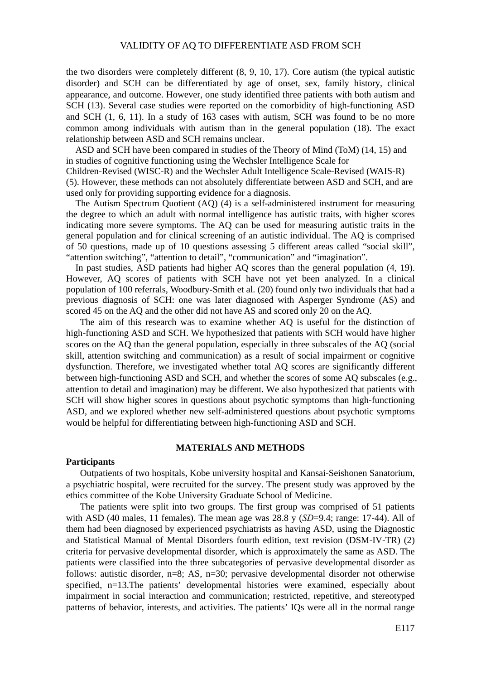### VALIDITY OF AQ TO DIFFERENTIATE ASD FROM SCH

the two disorders were completely different (8, 9, 10, 17). Core autism (the typical autistic disorder) and SCH can be differentiated by age of onset, sex, family history, clinical appearance, and outcome. However, one study identified three patients with both autism and SCH (13). Several case studies were reported on the comorbidity of high-functioning ASD and SCH (1, 6, 11). In a study of 163 cases with autism, SCH was found to be no more common among individuals with autism than in the general population (18). The exact relationship between ASD and SCH remains unclear.

ASD and SCH have been compared in studies of the Theory of Mind (ToM) (14, 15) and in studies of cognitive functioning using the Wechsler Intelligence Scale for

Children-Revised (WISC-R) and the Wechsler Adult Intelligence Scale-Revised (WAIS-R) (5). However, these methods can not absolutely differentiate between ASD and SCH, and are used only for providing supporting evidence for a diagnosis.

The Autism Spectrum Quotient (AQ) (4) is a self-administered instrument for measuring the degree to which an adult with normal intelligence has autistic traits, with higher scores indicating more severe symptoms. The AQ can be used for measuring autistic traits in the general population and for clinical screening of an autistic individual. The AQ is comprised of 50 questions, made up of 10 questions assessing 5 different areas called "social skill", "attention switching", "attention to detail", "communication" and "imagination".

In past studies, ASD patients had higher AQ scores than the general population (4, 19). However, AQ scores of patients with SCH have not yet been analyzed. In a clinical population of 100 referrals, Woodbury-Smith et al. (20) found only two individuals that had a previous diagnosis of SCH: one was later diagnosed with Asperger Syndrome (AS) and scored 45 on the AQ and the other did not have AS and scored only 20 on the AQ.

The aim of this research was to examine whether AQ is useful for the distinction of high-functioning ASD and SCH. We hypothesized that patients with SCH would have higher scores on the AQ than the general population, especially in three subscales of the AQ (social skill, attention switching and communication) as a result of social impairment or cognitive dysfunction. Therefore, we investigated whether total AQ scores are significantly different between high-functioning ASD and SCH, and whether the scores of some AQ subscales (e.g., attention to detail and imagination) may be different. We also hypothesized that patients with SCH will show higher scores in questions about psychotic symptoms than high-functioning ASD, and we explored whether new self-administered questions about psychotic symptoms would be helpful for differentiating between high-functioning ASD and SCH.

#### **MATERIALS AND METHODS**

#### **Participants**

Outpatients of two hospitals, Kobe university hospital and Kansai-Seishonen Sanatorium, a psychiatric hospital, were recruited for the survey. The present study was approved by the ethics committee of the Kobe University Graduate School of Medicine.

The patients were split into two groups. The first group was comprised of 51 patients with ASD (40 males, 11 females). The mean age was 28.8 y (*SD*=9.4; range: 17-44). All of them had been diagnosed by experienced psychiatrists as having ASD, using the Diagnostic and Statistical Manual of Mental Disorders fourth edition, text revision (DSM-IV-TR) (2) criteria for pervasive developmental disorder, which is approximately the same as ASD. The patients were classified into the three subcategories of pervasive developmental disorder as follows: autistic disorder, n=8; AS, n=30; pervasive developmental disorder not otherwise specified, n=13.The patients' developmental histories were examined, especially about impairment in social interaction and communication; restricted, repetitive, and stereotyped patterns of behavior, interests, and activities. The patients' IQs were all in the normal range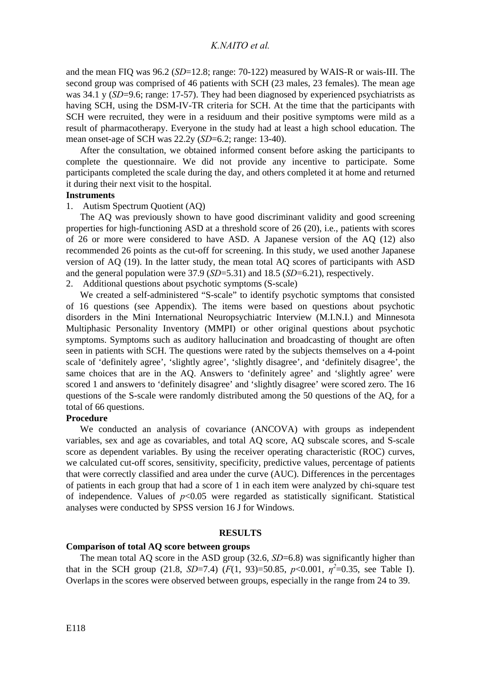and the mean FIQ was 96.2 (*SD*=12.8; range: 70-122) measured by WAIS-R or wais-III. The second group was comprised of 46 patients with SCH (23 males, 23 females). The mean age was 34.1 y (*SD*=9.6; range: 17-57). They had been diagnosed by experienced psychiatrists as having SCH, using the DSM-IV-TR criteria for SCH. At the time that the participants with SCH were recruited, they were in a residuum and their positive symptoms were mild as a result of pharmacotherapy. Everyone in the study had at least a high school education. The mean onset-age of SCH was 22.2y (*SD*=6.2; range: 13-40).

After the consultation, we obtained informed consent before asking the participants to complete the questionnaire. We did not provide any incentive to participate. Some participants completed the scale during the day, and others completed it at home and returned it during their next visit to the hospital.

#### **Instruments**

# 1. Autism Spectrum Quotient (AQ)

The AQ was previously shown to have good discriminant validity and good screening properties for high-functioning ASD at a threshold score of 26 (20), i.e., patients with scores of 26 or more were considered to have ASD. A Japanese version of the AQ (12) also recommended 26 points as the cut-off for screening. In this study, we used another Japanese version of AQ (19). In the latter study, the mean total AQ scores of participants with ASD and the general population were 37.9 (*SD*=5.31) and 18.5 (*SD*=6.21), respectively.

2. Additional questions about psychotic symptoms (S-scale)

We created a self-administered "S-scale" to identify psychotic symptoms that consisted of 16 questions (see Appendix). The items were based on questions about psychotic disorders in the Mini International Neuropsychiatric Interview (M.I.N.I.) and Minnesota Multiphasic Personality Inventory (MMPI) or other original questions about psychotic symptoms. Symptoms such as auditory hallucination and broadcasting of thought are often seen in patients with SCH. The questions were rated by the subjects themselves on a 4-point scale of 'definitely agree', 'slightly agree', 'slightly disagree', and 'definitely disagree', the same choices that are in the AQ. Answers to 'definitely agree' and 'slightly agree' were scored 1 and answers to 'definitely disagree' and 'slightly disagree' were scored zero. The 16 questions of the S-scale were randomly distributed among the 50 questions of the AQ, for a total of 66 questions.

### **Procedure**

We conducted an analysis of covariance (ANCOVA) with groups as independent variables, sex and age as covariables, and total AQ score, AQ subscale scores, and S-scale score as dependent variables. By using the receiver operating characteristic (ROC) curves, we calculated cut-off scores, sensitivity, specificity, predictive values, percentage of patients that were correctly classified and area under the curve (AUC). Differences in the percentages of patients in each group that had a score of 1 in each item were analyzed by chi-square test of independence. Values of  $p<0.05$  were regarded as statistically significant. Statistical analyses were conducted by SPSS version 16 J for Windows.

#### **RESULTS**

# **Comparison of total AQ score between groups**

The mean total AQ score in the ASD group (32.6, *SD*=6.8) was significantly higher than that in the SCH group (21.8, *SD*=7.4) ( $F(1, 93)$ =50.85,  $p$ <0.001,  $\eta^2$ =0.35, see Table I). Overlaps in the scores were observed between groups, especially in the range from 24 to 39.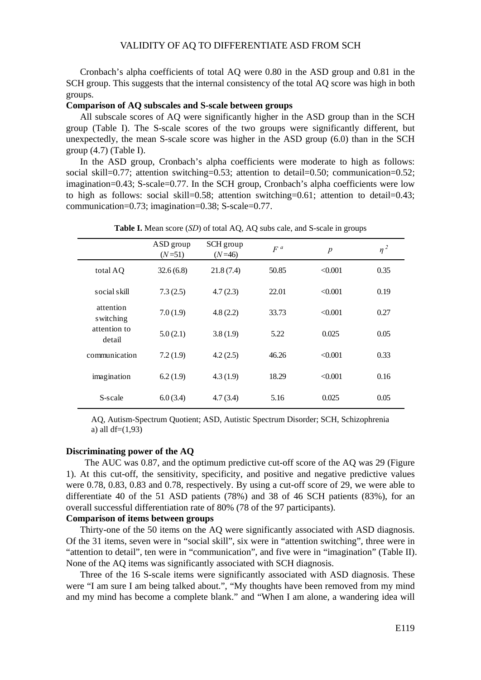# VALIDITY OF AQ TO DIFFERENTIATE ASD FROM SCH

Cronbach's alpha coefficients of total AQ were 0.80 in the ASD group and 0.81 in the SCH group. This suggests that the internal consistency of the total AQ score was high in both groups.

### **Comparison of AQ subscales and S-scale between groups**

All subscale scores of AQ were significantly higher in the ASD group than in the SCH group (Table I). The S-scale scores of the two groups were significantly different, but unexpectedly, the mean S-scale score was higher in the ASD group (6.0) than in the SCH group (4.7) (Table I).

In the ASD group, Cronbach's alpha coefficients were moderate to high as follows: social skill=0.77; attention switching=0.53; attention to detail=0.50; communication=0.52; imagination=0.43; S-scale=0.77. In the SCH group, Cronbach's alpha coefficients were low to high as follows: social skill=0.58; attention switching=0.61; attention to detail=0.43; communication=0.73; imagination=0.38; S-scale=0.77.

|                        | ASD group<br>$(N=51)$ | SCH group<br>$(N=46)$ | $F^a$ | $\boldsymbol{p}$ | $\eta^2$ |
|------------------------|-----------------------|-----------------------|-------|------------------|----------|
| total AO               | 32.6(6.8)             | 21.8(7.4)             | 50.85 | < 0.001          | 0.35     |
| social skill           | 7.3(2.5)              | 4.7(2.3)              | 22.01 | < 0.001          | 0.19     |
| attention<br>switching | 7.0(1.9)              | 4.8(2.2)              | 33.73 | < 0.001          | 0.27     |
| attention to<br>detail | 5.0(2.1)              | 3.8(1.9)              | 5.22  | 0.025            | 0.05     |
| communication          | 7.2(1.9)              | 4.2(2.5)              | 46.26 | < 0.001          | 0.33     |
| imagination            | 6.2(1.9)              | 4.3(1.9)              | 18.29 | < 0.001          | 0.16     |
| S-scale                | 6.0(3.4)              | 4.7(3.4)              | 5.16  | 0.025            | 0.05     |

**Table I.** Mean score (*SD*) of total AQ, AQ subs cale, and S-scale in groups

AQ, Autism-Spectrum Quotient; ASD, Autistic Spectrum Disorder; SCH, Schizophrenia a) all  $df=(1,93)$ 

# **Discriminating power of the AQ**

 The AUC was 0.87, and the optimum predictive cut-off score of the AQ was 29 (Figure 1). At this cut-off, the sensitivity, specificity, and positive and negative predictive values were 0.78, 0.83, 0.83 and 0.78, respectively. By using a cut-off score of 29, we were able to differentiate 40 of the 51 ASD patients (78%) and 38 of 46 SCH patients (83%), for an overall successful differentiation rate of 80% (78 of the 97 participants).

# **Comparison of items between groups**

Thirty-one of the 50 items on the AQ were significantly associated with ASD diagnosis. Of the 31 items, seven were in "social skill", six were in "attention switching", three were in "attention to detail", ten were in "communication", and five were in "imagination" (Table II). None of the AQ items was significantly associated with SCH diagnosis.

Three of the 16 S-scale items were significantly associated with ASD diagnosis. These were "I am sure I am being talked about.", "My thoughts have been removed from my mind and my mind has become a complete blank." and "When I am alone, a wandering idea will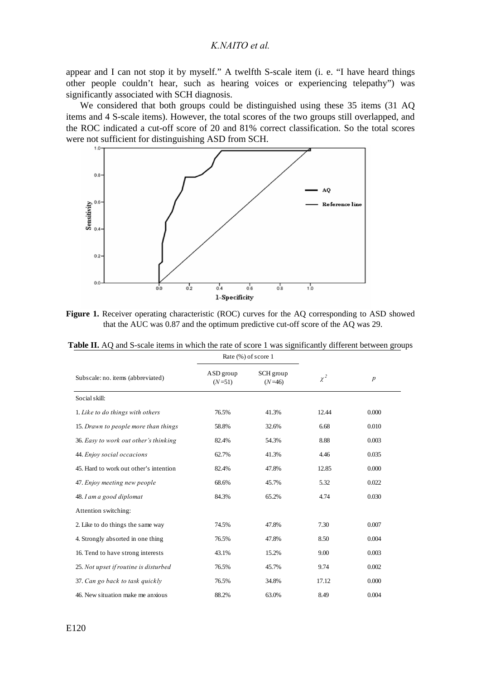# *K.NAITO et al.*

appear and I can not stop it by myself." A twelfth S-scale item (i. e. "I have heard things other people couldn't hear, such as hearing voices or experiencing telepathy") was significantly associated with SCH diagnosis.

We considered that both groups could be distinguished using these 35 items (31 AQ items and 4 S-scale items). However, the total scores of the two groups still overlapped, and the ROC indicated a cut-off score of 20 and 81% correct classification. So the total scores were not sufficient for distinguishing ASD from SCH.



Figure 1. Receiver operating characteristic (ROC) curves for the AQ corresponding to ASD showed that the AUC was 0.87 and the optimum predictive cut-off score of the AQ was 29.

|                                        | Rate (%) of score 1                            |       |          |                  |  |
|----------------------------------------|------------------------------------------------|-------|----------|------------------|--|
| Subscale: no. items (abbreviated)      | ASD group<br>SCH group<br>$(N=51)$<br>$(N=46)$ |       | $\chi^2$ | $\boldsymbol{p}$ |  |
| Social skill:                          |                                                |       |          |                  |  |
| 1. Like to do things with others       | 76.5%                                          | 41.3% | 12.44    | 0.000            |  |
| 15. Drawn to people more than things   | 58.8%                                          | 32.6% | 6.68     | 0.010            |  |
| 36. Easy to work out other's thinking  | 82.4%                                          | 54.3% | 8.88     | 0.003            |  |
| 44. Enjoy social occacions             | 62.7%                                          | 41.3% | 4.46     | 0.035            |  |
| 45. Hard to work out other's intention | 82.4%                                          | 47.8% | 12.85    | 0.000            |  |
| 47. Enjoy meeting new people           | 68.6%                                          | 45.7% | 5.32     | 0.022            |  |
| 48. I am a good diplomat               | 84.3%                                          | 65.2% | 4.74     | 0.030            |  |
| Attention switching:                   |                                                |       |          |                  |  |
| 2. Like to do things the same way      | 74.5%                                          | 47.8% | 7.30     | 0.007            |  |
| 4. Strongly absorted in one thing      | 76.5%                                          | 47.8% | 8.50     | 0.004            |  |
| 16. Tend to have strong interests      | 43.1%                                          | 15.2% | 9.00     | 0.003            |  |
| 25. Not upset if routine is disturbed  | 76.5%                                          | 45.7% | 9.74     | 0.002            |  |
| 37. Can go back to task quickly        | 76.5%                                          | 34.8% | 17.12    | 0.000            |  |
| 46. New situation make me anxious      | 88.2%                                          | 63.0% | 8.49     | 0.004            |  |

**Table II.** AQ and S-scale items in which the rate of score 1 was significantly different between groups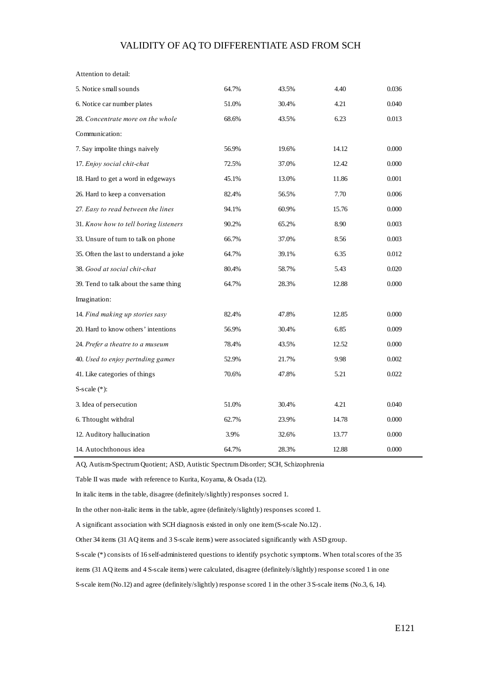# VALIDITY OF AQ TO DIFFERENTIATE ASD FROM SCH

| Attention to detail:                    |       |       |       |       |
|-----------------------------------------|-------|-------|-------|-------|
| 5. Notice small sounds                  | 64.7% | 43.5% | 4.40  | 0.036 |
| 6. Notice car number plates             | 51.0% | 30.4% | 4.21  | 0.040 |
| 28. Concentrate more on the whole       | 68.6% | 43.5% | 6.23  | 0.013 |
| Communication:                          |       |       |       |       |
| 7. Say impolite things naively          | 56.9% | 19.6% | 14.12 | 0.000 |
| 17. Enjoy social chit-chat              | 72.5% | 37.0% | 12.42 | 0.000 |
| 18. Hard to get a word in edgeways      | 45.1% | 13.0% | 11.86 | 0.001 |
| 26. Hard to keep a conversation         | 82.4% | 56.5% | 7.70  | 0.006 |
| 27. Easy to read between the lines      | 94.1% | 60.9% | 15.76 | 0.000 |
| 31. Know how to tell boring listeners   | 90.2% | 65.2% | 8.90  | 0.003 |
| 33. Unsure of turn to talk on phone     | 66.7% | 37.0% | 8.56  | 0.003 |
| 35. Often the last to understand a joke | 64.7% | 39.1% | 6.35  | 0.012 |
| 38. Good at social chit-chat            | 80.4% | 58.7% | 5.43  | 0.020 |
| 39. Tend to talk about the same thing   | 64.7% | 28.3% | 12.88 | 0.000 |
| Imagination:                            |       |       |       |       |
| 14. Find making up stories sasy         | 82.4% | 47.8% | 12.85 | 0.000 |
| 20. Hard to know others' intentions     | 56.9% | 30.4% | 6.85  | 0.009 |
| 24. Prefer a theatre to a museum        | 78.4% | 43.5% | 12.52 | 0.000 |
| 40. Used to enjoy pertnding games       | 52.9% | 21.7% | 9.98  | 0.002 |
| 41. Like categories of things           | 70.6% | 47.8% | 5.21  | 0.022 |
| S-scale $(*)$ :                         |       |       |       |       |
| 3. Idea of persecution                  | 51.0% | 30.4% | 4.21  | 0.040 |
| 6. Thtought withdral                    | 62.7% | 23.9% | 14.78 | 0.000 |
| 12. Auditory hallucination              | 3.9%  | 32.6% | 13.77 | 0.000 |
| 14. Autochthonous idea                  | 64.7% | 28.3% | 12.88 | 0.000 |

AQ, Autism-Spectrum Quotient; ASD, Autistic Spectrum Disorder; SCH, Schizophrenia

Table II was made with reference to Kurita, Koyama, & Osada (12).

In italic items in the table, disagree (definitely/slightly) responses socred 1.

In the other non-italic items in the table, agree (definitely/slightly) responses scored 1.

A significant association with SCH diagnosis existed in only one item (S-scale No.12) .

Other 34 items (31 AQ items and 3 S-scale items) were associated significantly with ASD group.

S-scale (\*) consists of 16 self-administered questions to identify psychotic symptoms. When total scores of the 35

items (31 AQ items and 4 S-scale items) were calculated, disagree (definitely/slightly) response scored 1 in one

S-scale item (No.12) and agree (definitely/slightly) response scored 1 in the other 3 S-scale items (No.3, 6, 14).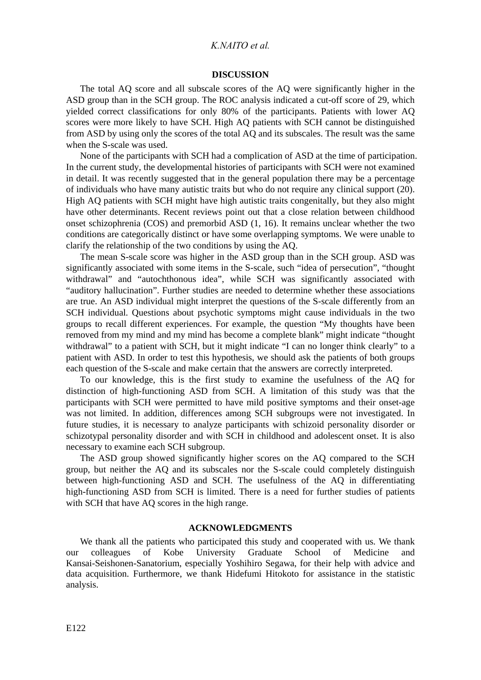# *K.NAITO et al.*

#### **DISCUSSION**

The total AQ score and all subscale scores of the AQ were significantly higher in the ASD group than in the SCH group. The ROC analysis indicated a cut-off score of 29, which yielded correct classifications for only 80% of the participants. Patients with lower AQ scores were more likely to have SCH. High AQ patients with SCH cannot be distinguished from ASD by using only the scores of the total AQ and its subscales. The result was the same when the S-scale was used.

None of the participants with SCH had a complication of ASD at the time of participation. In the current study, the developmental histories of participants with SCH were not examined in detail. It was recently suggested that in the general population there may be a percentage of individuals who have many autistic traits but who do not require any clinical support (20). High AQ patients with SCH might have high autistic traits congenitally, but they also might have other determinants. Recent reviews point out that a close relation between childhood onset schizophrenia (COS) and premorbid ASD (1, 16). It remains unclear whether the two conditions are categorically distinct or have some overlapping symptoms. We were unable to clarify the relationship of the two conditions by using the AQ.

The mean S-scale score was higher in the ASD group than in the SCH group. ASD was significantly associated with some items in the S-scale, such "idea of persecution", "thought withdrawal" and "autochthonous idea", while SCH was significantly associated with "auditory hallucination". Further studies are needed to determine whether these associations are true. An ASD individual might interpret the questions of the S-scale differently from an SCH individual. Questions about psychotic symptoms might cause individuals in the two groups to recall different experiences. For example, the question "My thoughts have been removed from my mind and my mind has become a complete blank" might indicate "thought withdrawal" to a patient with SCH, but it might indicate "I can no longer think clearly" to a patient with ASD. In order to test this hypothesis, we should ask the patients of both groups each question of the S-scale and make certain that the answers are correctly interpreted.

To our knowledge, this is the first study to examine the usefulness of the AQ for distinction of high-functioning ASD from SCH. A limitation of this study was that the participants with SCH were permitted to have mild positive symptoms and their onset-age was not limited. In addition, differences among SCH subgroups were not investigated. In future studies, it is necessary to analyze participants with schizoid personality disorder or schizotypal personality disorder and with SCH in childhood and adolescent onset. It is also necessary to examine each SCH subgroup.

The ASD group showed significantly higher scores on the AQ compared to the SCH group, but neither the AQ and its subscales nor the S-scale could completely distinguish between high-functioning ASD and SCH. The usefulness of the AQ in differentiating high-functioning ASD from SCH is limited. There is a need for further studies of patients with SCH that have AQ scores in the high range.

## **ACKNOWLEDGMENTS**

We thank all the patients who participated this study and cooperated with us. We thank our colleagues of Kobe University Graduate School of Medicine and Kansai-Seishonen-Sanatorium, especially Yoshihiro Segawa, for their help with advice and data acquisition. Furthermore, we thank Hidefumi Hitokoto for assistance in the statistic analysis.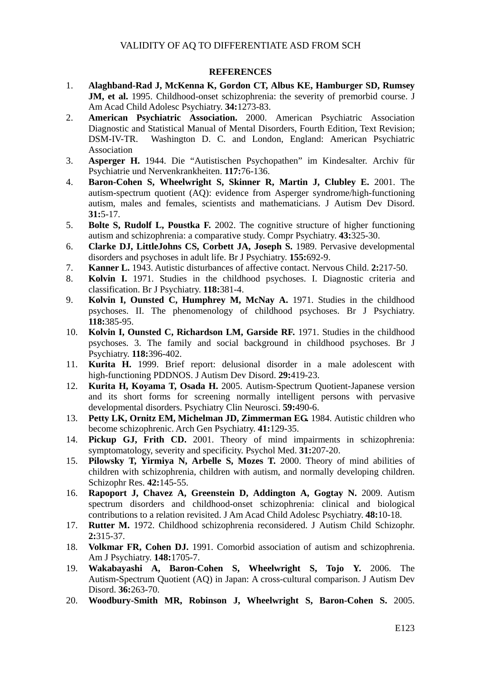# **REFERENCES**

- 1. **Alaghband-Rad J, McKenna K, Gordon CT, Albus KE, Hamburger SD, Rumsey JM, et al.** 1995. Childhood-onset schizophrenia: the severity of premorbid course. J Am Acad Child Adolesc Psychiatry. **34:**1273-83.
- 2. **American Psychiatric Association.** 2000. American Psychiatric Association Diagnostic and Statistical Manual of Mental Disorders, Fourth Edition, Text Revision; DSM-IV-TR. Washington D. C. and London, England: American Psychiatric Association
- 3. **Asperger H.** 1944. Die "Autistischen Psychopathen" im Kindesalter. Archiv für Psychiatrie und Nervenkrankheiten. **117:**76-136.
- 4. **Baron-Cohen S, Wheelwright S, Skinner R, Martin J, Clubley E.** 2001. The autism-spectrum quotient (AQ): evidence from Asperger syndrome/high-functioning autism, males and females, scientists and mathematicians. J Autism Dev Disord. **31:**5-17.
- 5. **Bolte S, Rudolf L, Poustka F.** 2002. The cognitive structure of higher functioning autism and schizophrenia: a comparative study. Compr Psychiatry. **43:**325-30.
- 6. **Clarke DJ, LittleJohns CS, Corbett JA, Joseph S.** 1989. Pervasive developmental disorders and psychoses in adult life. Br J Psychiatry. **155:**692-9.
- 7. **Kanner L.** 1943. Autistic disturbances of affective contact. Nervous Child. **2:**217-50.
- 8. **Kolvin I.** 1971. Studies in the childhood psychoses. I. Diagnostic criteria and classification. Br J Psychiatry. **118:**381-4.
- 9. **Kolvin I, Ounsted C, Humphrey M, McNay A.** 1971. Studies in the childhood psychoses. II. The phenomenology of childhood psychoses. Br J Psychiatry. **118:**385-95.
- 10. **Kolvin I, Ounsted C, Richardson LM, Garside RF.** 1971. Studies in the childhood psychoses. 3. The family and social background in childhood psychoses. Br J Psychiatry. **118:**396-402.
- 11. **Kurita H.** 1999. Brief report: delusional disorder in a male adolescent with high-functioning PDDNOS. J Autism Dev Disord. **29:**419-23.
- 12. **Kurita H, Koyama T, Osada H.** 2005. Autism-Spectrum Quotient-Japanese version and its short forms for screening normally intelligent persons with pervasive developmental disorders. Psychiatry Clin Neurosci. **59:**490-6.
- 13. **Petty LK, Ornitz EM, Michelman JD, Zimmerman EG.** 1984. Autistic children who become schizophrenic. Arch Gen Psychiatry. **41:**129-35.
- 14. **Pickup GJ, Frith CD.** 2001. Theory of mind impairments in schizophrenia: symptomatology, severity and specificity. Psychol Med. **31:**207-20.
- 15. **Pilowsky T, Yirmiya N, Arbelle S, Mozes T.** 2000. Theory of mind abilities of children with schizophrenia, children with autism, and normally developing children. Schizophr Res. **42:**145-55.
- 16. **Rapoport J, Chavez A, Greenstein D, Addington A, Gogtay N.** 2009. Autism spectrum disorders and childhood-onset schizophrenia: clinical and biological contributions to a relation revisited. J Am Acad Child Adolesc Psychiatry. **48:**10-18.
- 17. **Rutter M.** 1972. Childhood schizophrenia reconsidered. J Autism Child Schizophr. **2:**315-37.
- 18. **Volkmar FR, Cohen DJ.** 1991. Comorbid association of autism and schizophrenia. Am J Psychiatry. **148:**1705-7.
- 19. **Wakabayashi A, Baron-Cohen S, Wheelwright S, Tojo Y.** 2006. The Autism-Spectrum Quotient (AQ) in Japan: A cross-cultural comparison. J Autism Dev Disord. **36:**263-70.
- 20. **Woodbury-Smith MR, Robinson J, Wheelwright S, Baron-Cohen S.** 2005.